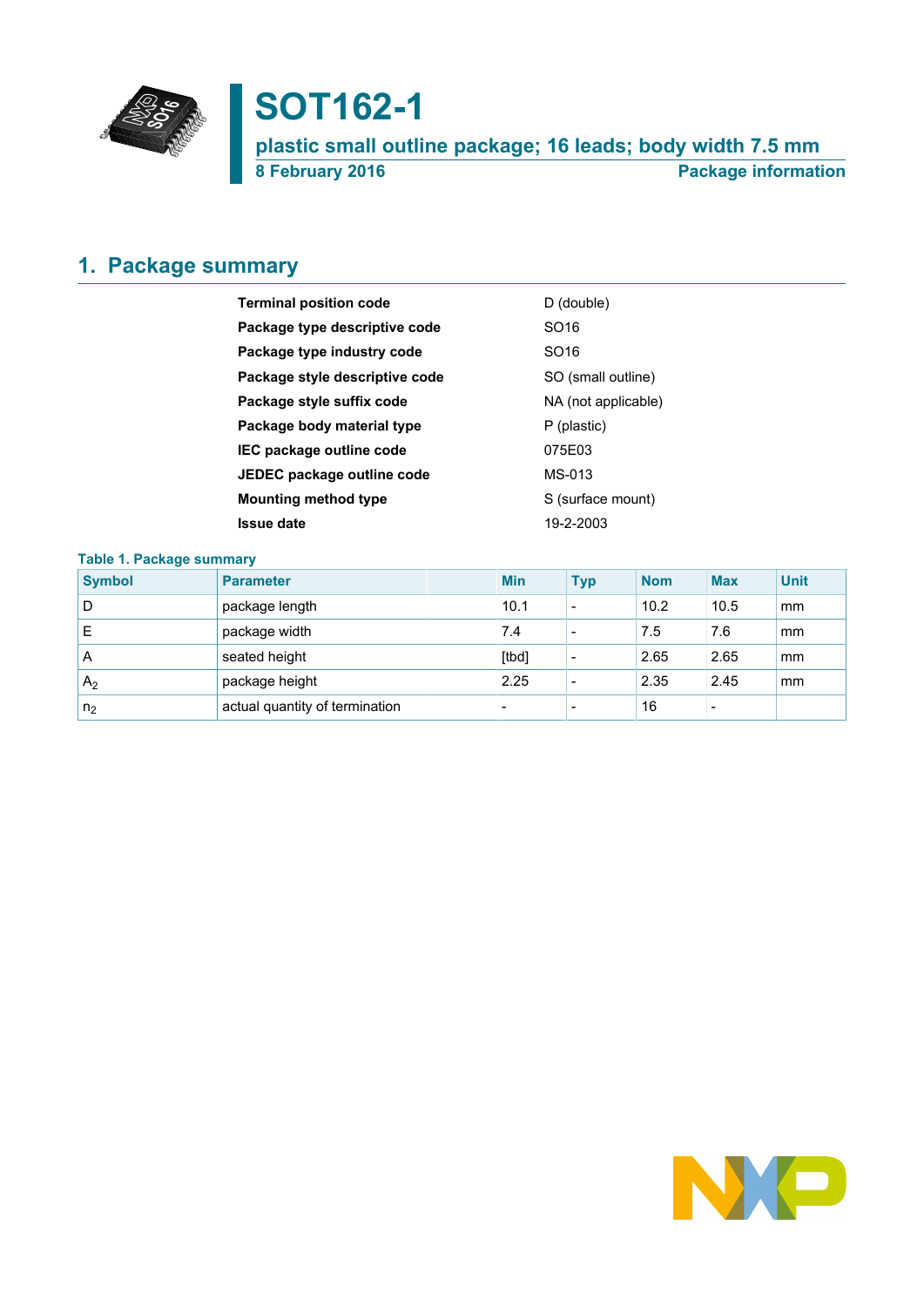

# **SOT162-1**

**plastic small outline package; 16 leads; body width 7.5 mm 8 February 2016 Package information**

# <span id="page-0-0"></span>**1. Package summary**

| <b>Terminal position code</b>  | D (double)          |
|--------------------------------|---------------------|
| Package type descriptive code  | SO <sub>16</sub>    |
| Package type industry code     | SO <sub>16</sub>    |
| Package style descriptive code | SO (small outline)  |
| Package style suffix code      | NA (not applicable) |
| Package body material type     | P (plastic)         |
| IEC package outline code       | 075E03              |
| JEDEC package outline code     | MS-013              |
| <b>Mounting method type</b>    | S (surface mount)   |
| <b>Issue date</b>              | 19-2-2003           |

### **Table 1. Package summary**

| <b>Symbol</b>  | <b>Parameter</b>               | <b>Min</b>               | <b>Typ</b>               | <b>Nom</b> | <b>Max</b>               | <b>Unit</b> |
|----------------|--------------------------------|--------------------------|--------------------------|------------|--------------------------|-------------|
| D              | package length                 | 10.1                     |                          | 10.2       | 10.5                     | mm          |
| E              | package width                  | 7.4                      | $\overline{\phantom{0}}$ | 7.5        | 7.6                      | mm          |
| A              | seated height                  | [tbd]                    | $\overline{\phantom{0}}$ | 2.65       | 2.65                     | mm          |
| A <sub>2</sub> | package height                 | 2.25                     | -                        | 2.35       | 2.45                     | mm          |
| n <sub>2</sub> | actual quantity of termination | $\overline{\phantom{0}}$ | $\overline{\phantom{0}}$ | 16         | $\overline{\phantom{a}}$ |             |

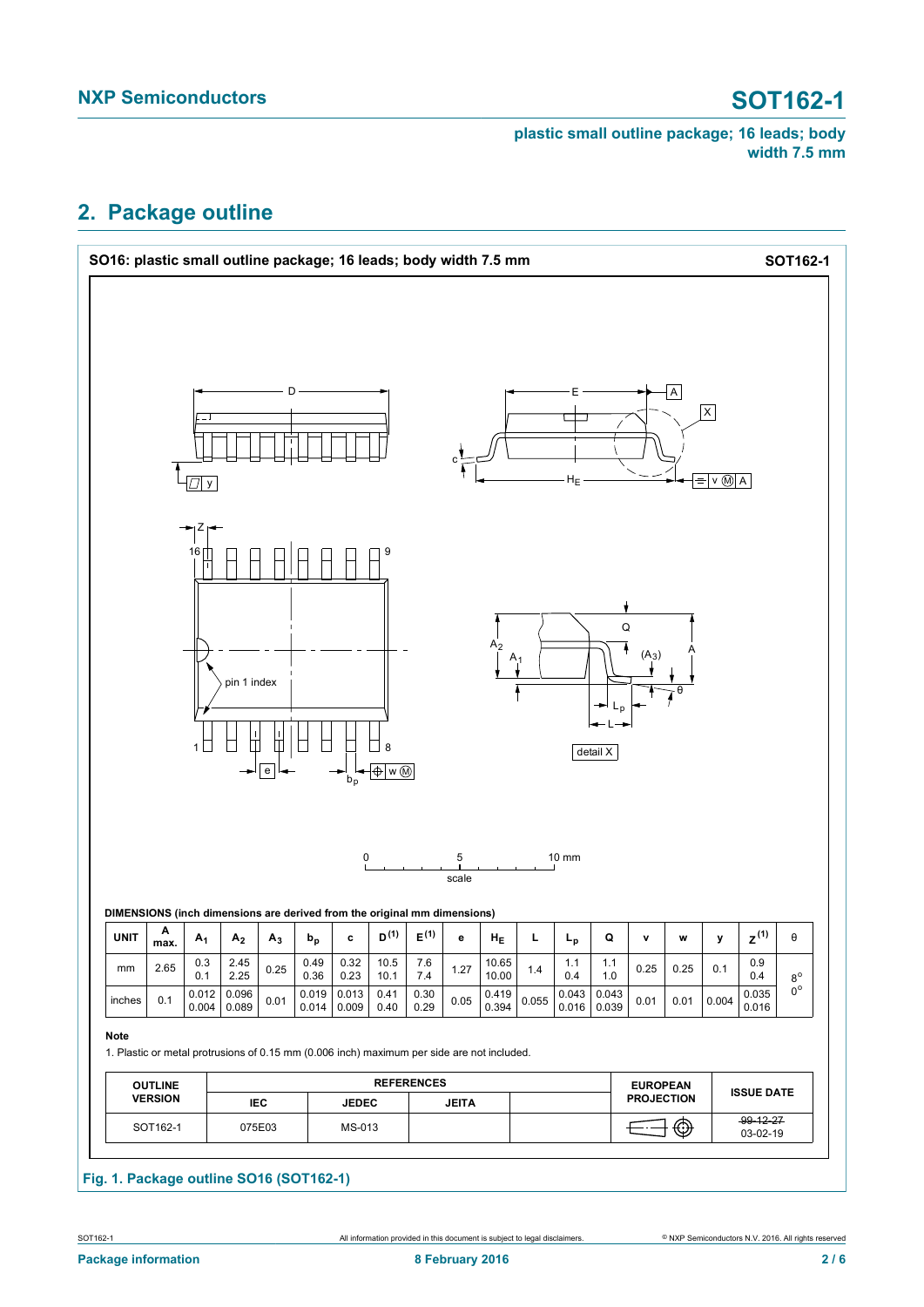# <span id="page-1-0"></span>**2. Package outline**



### **Fig. 1. Package outline SO16 (SOT162-1)**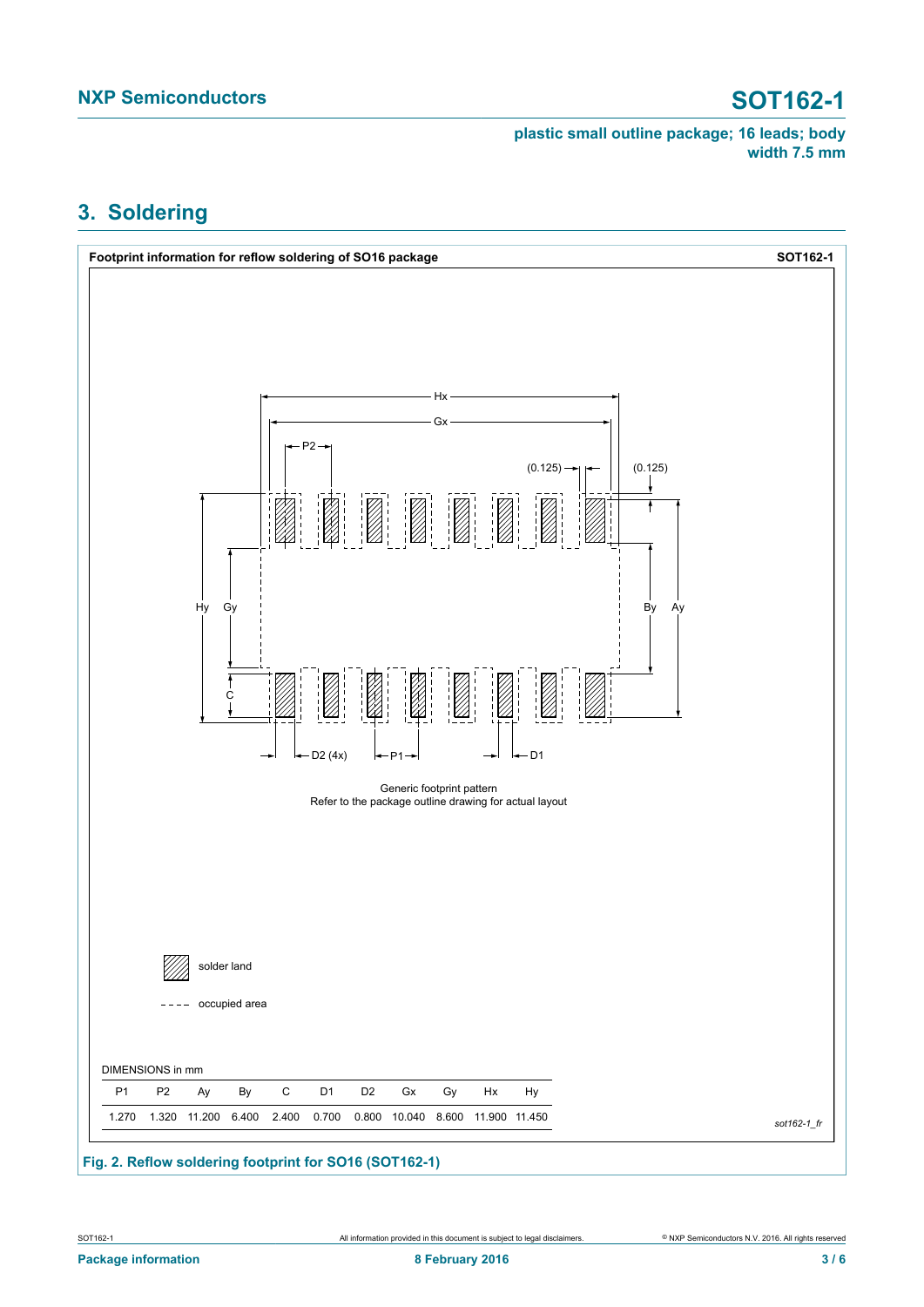# <span id="page-2-0"></span>**3. Soldering**

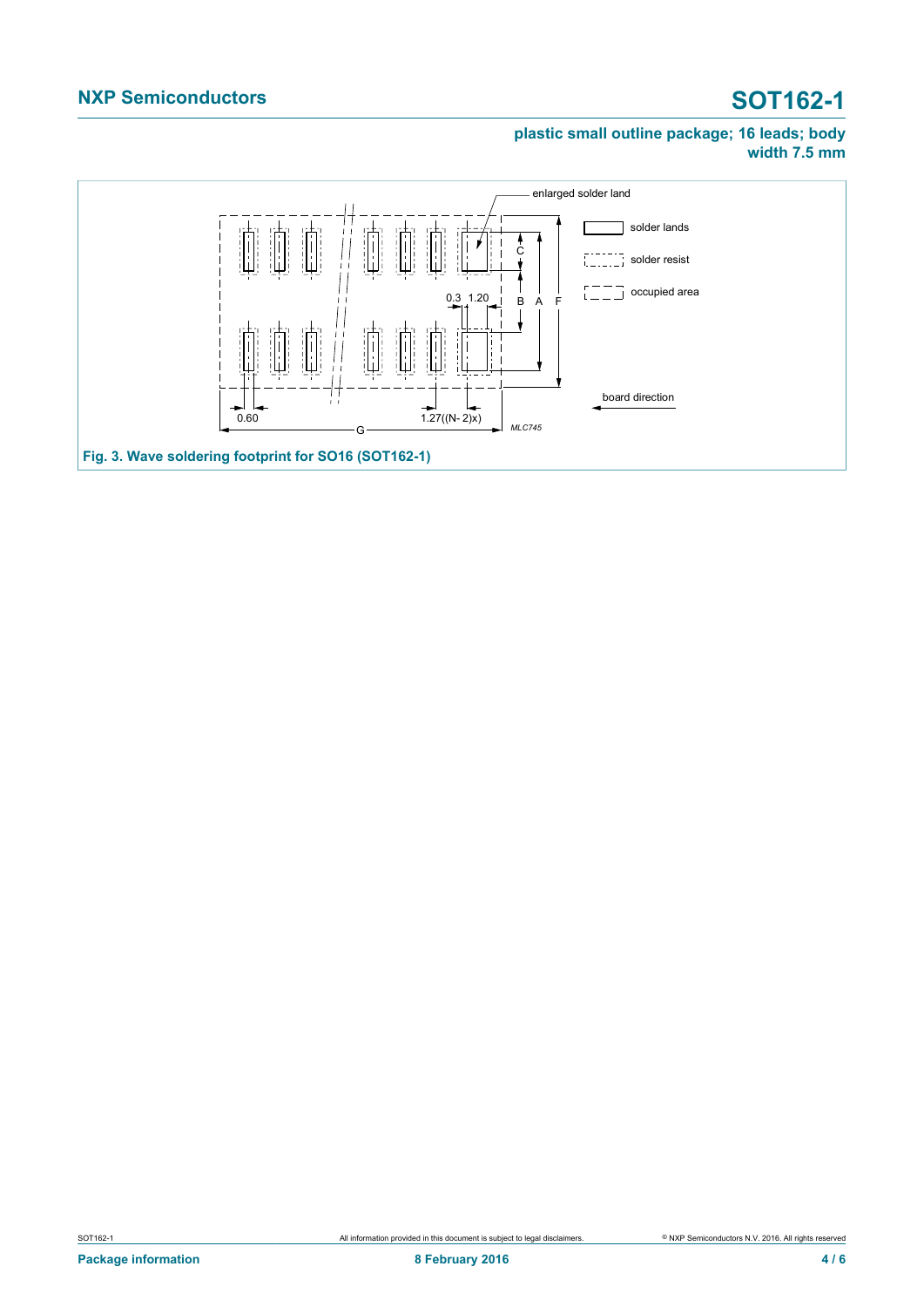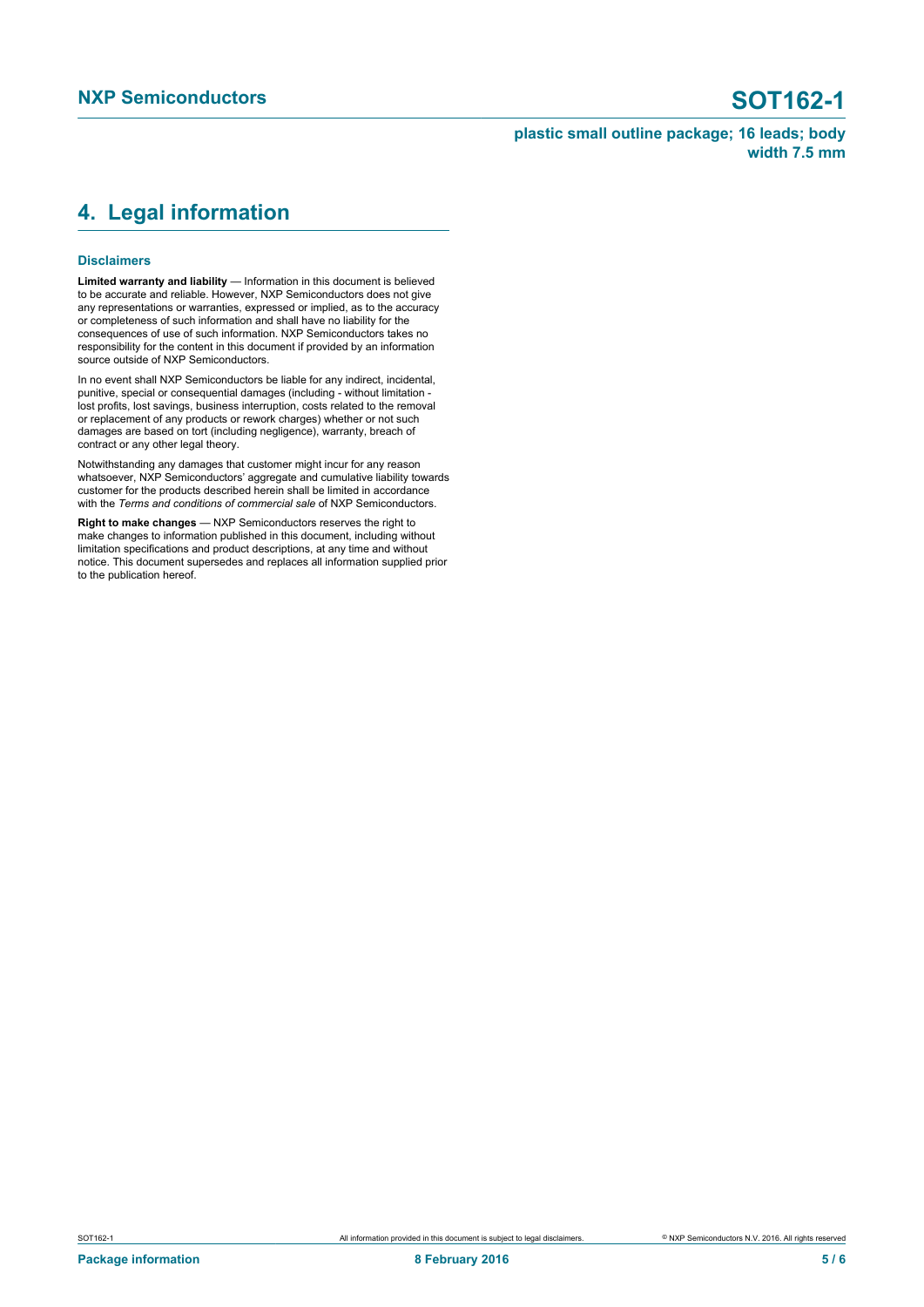## <span id="page-4-0"></span>**4. Legal information**

### **Disclaimers**

**Limited warranty and liability** — Information in this document is believed to be accurate and reliable. However, NXP Semiconductors does not give any representations or warranties, expressed or implied, as to the accuracy or completeness of such information and shall have no liability for the consequences of use of such information. NXP Semiconductors takes no responsibility for the content in this document if provided by an information source outside of NXP Semiconductors.

In no event shall NXP Semiconductors be liable for any indirect, incidental, punitive, special or consequential damages (including - without limitation lost profits, lost savings, business interruption, costs related to the removal or replacement of any products or rework charges) whether or not such damages are based on tort (including negligence), warranty, breach of contract or any other legal theory.

Notwithstanding any damages that customer might incur for any reason whatsoever, NXP Semiconductors' aggregate and cumulative liability towards customer for the products described herein shall be limited in accordance with the *Terms and conditions of commercial sale* of NXP Semiconductors.

**Right to make changes** — NXP Semiconductors reserves the right to make changes to information published in this document, including without limitation specifications and product descriptions, at any time and without notice. This document supersedes and replaces all information supplied prior to the publication hereof.